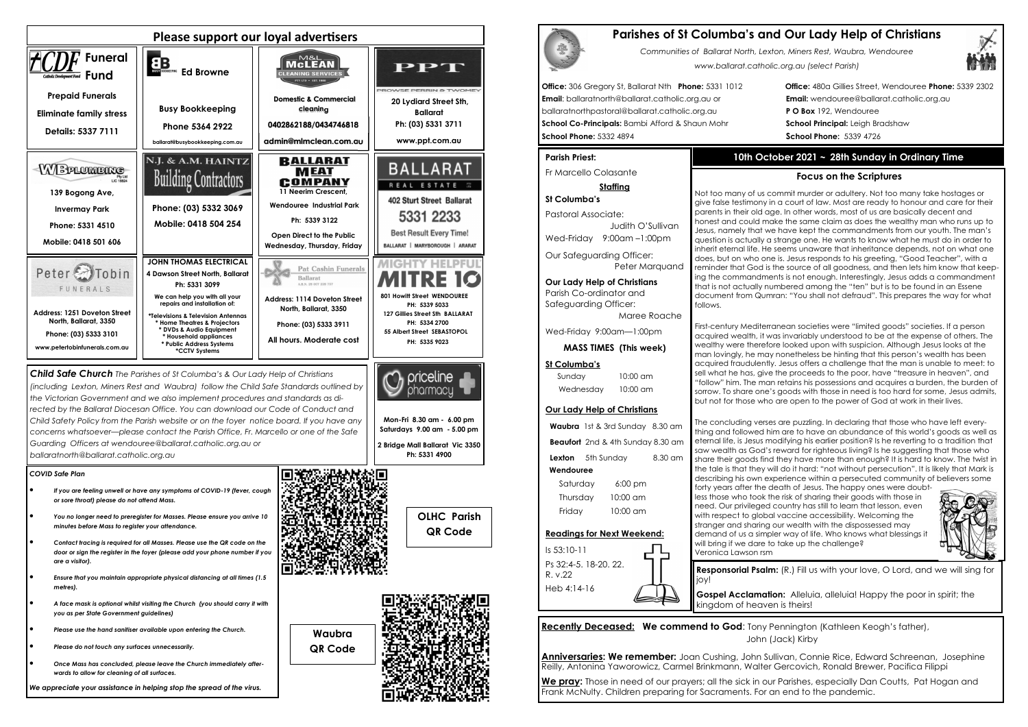

**Recently Deceased: We commend to God: Tony Pennington (Kathleen Keogh's father),** John (Jack) Kirby

# **Parishes of St Columba's and Our Lady Help of Christians**

*Communities of Ballarat North, Lexton, Miners Rest, Waubra, Wendouree www.ballarat.catholic.org.au (select Parish)* 

**Office:** 306 Gregory St, Ballarat Nth **Phone:** 5331 1012 **Office:** 480a Gillies Street, Wendouree **Phone:** 5339 2302

**Email**: ballaratnorth@ballarat.catholic.org.au or **Email:** wendouree@ballarat.catholic.org.au ballaratnorthpastoral@ballarat.catholic.org.au **P O Box** 192, Wendouree **School Co-Principals:** Bambi Afford & Shaun Mohr **School Principal:** Leigh Bradshaw **School Phone:** 5332 4894 **School Phone:** 5339 4726

#### **Parish Priest:**

Fr Marcello Colasante

### **Staffing**

**St Columba's** Pastoral Associate: Judith O'SullivanWed-Friday 9:00am –1:00pm

Our Safeguarding Officer: Peter Marquand

**Our Lady Help of Christians**Parish Co-ordinator and Safeguarding Officer:

Maree Roache

Wed-Friday 9:00am—1:00pm

**MASS TIMES (This week)**

## **St Columba's**

Sunday 10:00 am Wednesday 10:00 am

## **Our Lady Help of Christians**

**Waubra** 1st & 3rd Sunday 8.30 am **Beaufort** 2nd & 4th Sunday 8.30 am **Lexton** 5th Sunday 8.30 am  **Wendouree** Saturday 6:00 pm Thursday 10:00 am Friday 10:00 am

#### **Readings for Next Weekend:**

Is 53:10-11 Ps 32:4-5. 18-20. 22. R. v.22 Heb 4:14-16

**Anniversaries: We remember:** Joan Cushing, John Sullivan, Connie Rice, Edward Schreenan, Josephine Reilly, Antonina Yaworowicz, Carmel Brinkmann, Walter Gercovich, Ronald Brewer, Pacifica Filippi

**We pray:** Those in need of our prayers; all the sick in our Parishes, especially Dan Coutts, Pat Hogan and Frank McNulty. Children preparing for Sacraments. For an end to the pandemic.



# **10th October 2021 ~ 28th Sunday in Ordinary Time**

# **Focus on the Scriptures**

Not too many of us commit murder or adultery. Not too many take hostages or give false testimony in a court of law. Most are ready to honour and care for their parents in their old age. In other words, most of us are basically decent and honest and could make the same claim as does the wealthy man who runs up to Jesus, namely that we have kept the commandments from our youth. The man's question is actually a strange one. He wants to know what he must do in order to inherit eternal life. He seems unaware that inheritance depends, not on what one does, but on who one is. Jesus responds to his greeting, "Good Teacher", with a reminder that God is the source of all goodness, and then lets him know that keeping the commandments is not enough. Interestingly, Jesus adds a commandment that is not actually numbered among the "ten" but is to be found in an Essene document from Qumran: "You shall not defraud". This prepares the way for what

follows.



First-century Mediterranean societies were "limited goods" societies. If a person acquired wealth, it was invariably understood to be at the expense of others. The wealthy were therefore looked upon with suspicion. Although Jesus looks at the man lovingly, he may nonetheless be hinting that this person's wealth has been acquired fraudulently. Jesus offers a challenge that the man is unable to meet: to sell what he has, give the proceeds to the poor, have "treasure in heaven", and "follow" him. The man retains his possessions and acquires a burden, the burden of sorrow. To share one's goods with those in need is too hard for some, Jesus admits, but not for those who are open to the power of God at work in their lives.

The concluding verses are puzzling. In declaring that those who have left everything and followed him are to have an abundance of this world's goods as well as eternal life, is Jesus modifying his earlier position? Is he reverting to a tradition that saw wealth as God's reward for righteous living? Is he suggesting that those who share their goods find they have more than enough? It is hard to know. The twist in the tale is that they will do it hard: "not without persecution". It is likely that Mark is describing his own experience within a persecuted community of believers some

forty years after the death of Jesus. The happy ones were doubtless those who took the risk of sharing their goods with those in need. Our privileged country has still to learn that lesson, even with respect to global vaccine accessibility. Welcoming the stranger and sharing our wealth with the dispossessed may demand of us a simpler way of life. Who knows what blessings it will bring if we dare to take up the challenge?





**Responsorial Psalm:** (R.) Fill us with your love, O Lord, and we will sing for

**Gospel Acclamation:** Alleluia, alleluia! Happy the poor in spirit; the kingdom of heaven is theirs!